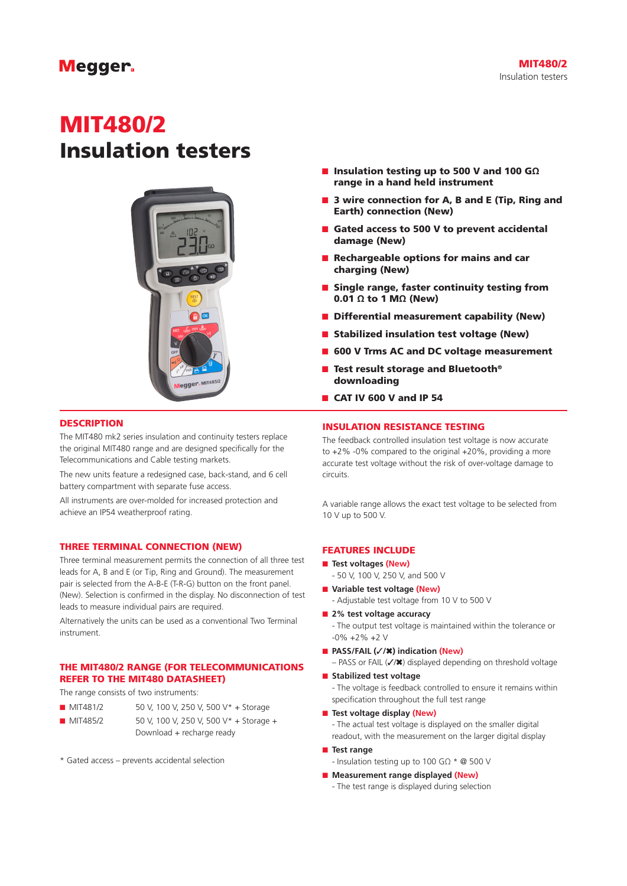# MIT480/2 Insulation testers



#### **DESCRIPTION**

The MIT480 mk2 series insulation and continuity testers replace the original MIT480 range and are designed specifically for the Telecommunications and Cable testing markets.

The new units feature a redesigned case, back-stand, and 6 cell battery compartment with separate fuse access.

All instruments are over-molded for increased protection and achieve an IP54 weatherproof rating.

#### THREE TERMINAL CONNECTION (NEW)

Three terminal measurement permits the connection of all three test leads for A, B and E (or Tip, Ring and Ground). The measurement pair is selected from the A-B-E (T-R-G) button on the front panel. (New). Selection is confirmed in the display. No disconnection of test leads to measure individual pairs are required.

Alternatively the units can be used as a conventional Two Terminal instrument.

#### THE MIT480/2 RANGE (FOR TELECOMMUNICATIONS REFER TO THE MIT480 DATASHEET)

The range consists of two instruments:

- MIT481/2 50 V, 100 V, 250 V, 500 V\* + Storage
- MIT485/2 50 V, 100 V, 250 V, 500 V\* + Storage + Download + recharge ready
- \* Gated access prevents accidental selection
- Insulation testing up to 500 V and 100 GΩ range in a hand held instrument
- 3 wire connection for A, B and E (Tip, Ring and Earth) connection (New)
- Gated access to 500 V to prevent accidental damage (New)
- Rechargeable options for mains and car charging (New)
- Single range, faster continuity testing from 0.01 Ω to 1 MΩ (New)
- Differential measurement capability (New)
- Stabilized insulation test voltage (New)
- 600 V Trms AC and DC voltage measurement
- Test result storage and Bluetooth<sup>®</sup> downloading
- CAT IV 600 V and IP 54

#### INSULATION RESISTANCE TESTING

The feedback controlled insulation test voltage is now accurate to +2% -0% compared to the original +20%, providing a more accurate test voltage without the risk of over-voltage damage to circuits.

A variable range allows the exact test voltage to be selected from 10 V up to 500 V.

#### FEATURES INCLUDE

- **Test voltages (New)**
- 50 V, 100 V, 250 V, and 500 V
- Variable test voltage (New)
	- Adjustable test voltage from 10 V to 500 V
- 2% test voltage accuracy - The output test voltage is maintained within the tolerance or -0% +2% +2 V
- **PASS/FAIL (**✓**/**✖**) indication (New)** 
	- PASS or FAIL (✓/✖) displayed depending on threshold voltage
- **Stabilized test voltage**
	- The voltage is feedback controlled to ensure it remains within specification throughout the full test range
- **Test voltage display (New)**

- The actual test voltage is displayed on the smaller digital readout, with the measurement on the larger digital display

- **Test range**
	- Insulation testing up to 100 GΩ \* @ 500 V
- **Measurement range displayed (New)** 
	- The test range is displayed during selection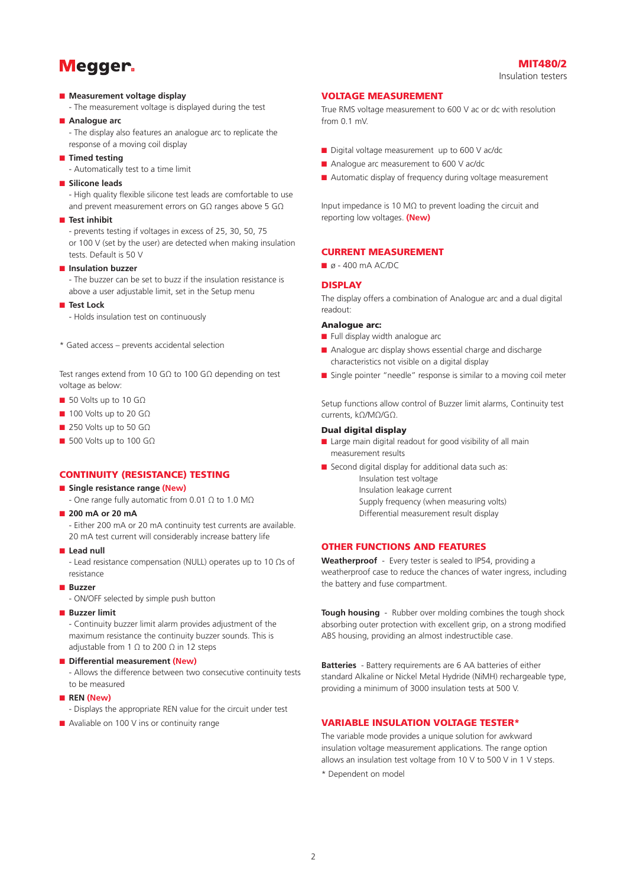#### ■ **Measurement voltage display**

- The measurement voltage is displayed during the test

#### ■ **Analogue arc**

- The display also features an analogue arc to replicate the response of a moving coil display

■ **Timed testing** 

- Automatically test to a time limit

■ **Silicone leads** 

- High quality flexible silicone test leads are comfortable to use and prevent measurement errors on GΩ ranges above 5 GΩ

#### ■ **Test inhibit**

- prevents testing if voltages in excess of 25, 30, 50, 75 or 100 V (set by the user) are detected when making insulation tests. Default is 50 V

#### ■ **Insulation buzzer**

- The buzzer can be set to buzz if the insulation resistance is above a user adjustable limit, set in the Setup menu

- **Test Lock** 
	- Holds insulation test on continuously

\* Gated access – prevents accidental selection

Test ranges extend from 10 GΩ to 100 GΩ depending on test voltage as below:

- 50 Volts up to 10 GΩ
- 100 Volts up to 20 GΩ
- 250 Volts up to 50 GΩ
- 500 Volts up to 100 GΩ

#### CONTINUITY (RESISTANCE) TESTING

- **Single resistance range (New)** 
	- One range fully automatic from 0.01 Ω to 1.0 MΩ
- **200 mA or 20 mA** 
	- Either 200 mA or 20 mA continuity test currents are available. 20 mA test current will considerably increase battery life
- Lead null
	- Lead resistance compensation (NULL) operates up to 10 Ωs of resistance
- **Buzzer** 
	- ON/OFF selected by simple push button
- **Buzzer limit**

- Continuity buzzer limit alarm provides adjustment of the maximum resistance the continuity buzzer sounds. This is adjustable from 1  $\Omega$  to 200  $\Omega$  in 12 steps

- Differential measurement (New)
	- Allows the difference between two consecutive continuity tests to be measured
- **REN (New)**
	- Displays the appropriate REN value for the circuit under test
- Avaliable on 100 V ins or continuity range

#### VOLTAGE MEASUREMENT

True RMS voltage measurement to 600 V ac or dc with resolution from 0.1 mV.

- Digital voltage measurement up to 600 V ac/dc
- Analogue arc measurement to 600 V ac/dc
- Automatic display of frequency during voltage measurement

Input impedance is 10 MΩ to prevent loading the circuit and reporting low voltages. **(New)**

#### CURRENT MEASUREMENT

 $\blacksquare$  ø - 400 mA AC/DC

#### DISPLAY

The display offers a combination of Analogue arc and a dual digital readout:

#### Analogue arc:

- Full display width analogue arc
- Analogue arc display shows essential charge and discharge characteristics not visible on a digital display
- Single pointer "needle" response is similar to a moving coil meter

Setup functions allow control of Buzzer limit alarms, Continuity test currents, kΩ/MΩ/GΩ.

#### Dual digital display

- Large main digital readout for good visibility of all main measurement results
- Second digital display for additional data such as:
	- Insulation test voltage Insulation leakage current Supply frequency (when measuring volts) Differential measurement result display

#### OTHER FUNCTIONS AND FEATURES

**Weatherproof** - Every tester is sealed to IP54, providing a weatherproof case to reduce the chances of water ingress, including the battery and fuse compartment.

**Tough housing** - Rubber over molding combines the tough shock absorbing outer protection with excellent grip, on a strong modified ABS housing, providing an almost indestructible case.

**Batteries** - Battery requirements are 6 AA batteries of either standard Alkaline or Nickel Metal Hydride (NiMH) rechargeable type, providing a minimum of 3000 insulation tests at 500 V.

#### VARIABLE INSULATION VOLTAGE TESTER\*

The variable mode provides a unique solution for awkward insulation voltage measurement applications. The range option allows an insulation test voltage from 10 V to 500 V in 1 V steps.

\* Dependent on model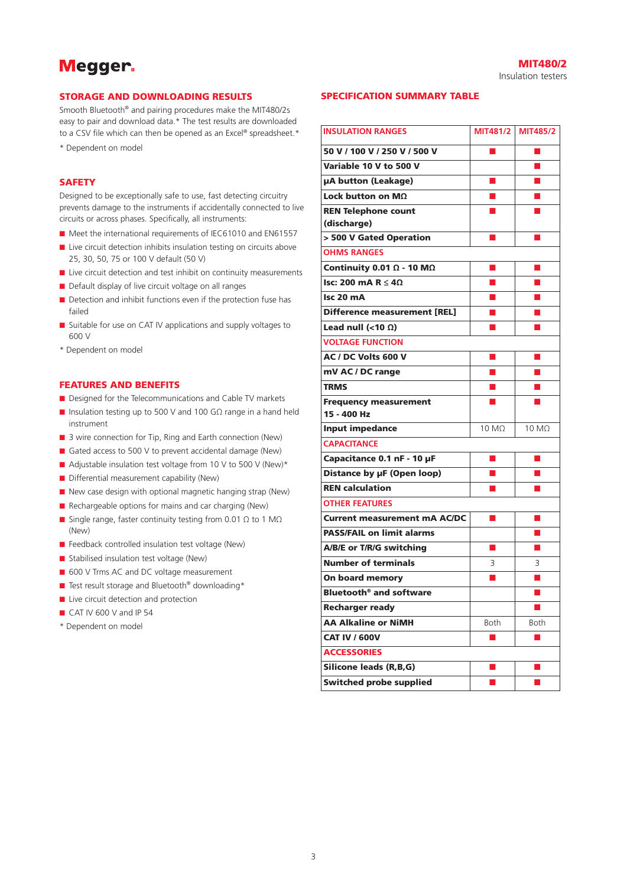#### MIT<sub>480/2</sub>

Insulation testers

#### STORAGE AND DOWNLOADING RESULTS

Smooth Bluetooth® and pairing procedures make the MIT480/2s easy to pair and download data.\* The test results are downloaded to a CSV file which can then be opened as an Excel® spreadsheet.\* \* Dependent on model

## **SAFFTY**

Designed to be exceptionally safe to use, fast detecting circuitry prevents damage to the instruments if accidentally connected to live circuits or across phases. Specifically, all instruments:

- Meet the international requirements of IEC61010 and EN61557
- Live circuit detection inhibits insulation testing on circuits above 25, 30, 50, 75 or 100 V default (50 V)
- Live circuit detection and test inhibit on continuity measurements
- Default display of live circuit voltage on all ranges
- Detection and inhibit functions even if the protection fuse has failed
- Suitable for use on CAT IV applications and supply voltages to 600 V
- \* Dependent on model

#### FEATURES AND BENEFITS

- Designed for the Telecommunications and Cable TV markets
- Insulation testing up to 500 V and 100 GΩ range in a hand held instrument
- 3 wire connection for Tip, Ring and Earth connection (New)
- Gated access to 500 V to prevent accidental damage (New)
- Adjustable insulation test voltage from 10 V to 500 V (New)\*
- Differential measurement capability (New)
- New case design with optional magnetic hanging strap (New)
- Rechargeable options for mains and car charging (New)
- Single range, faster continuity testing from 0.01  $Ω$  to 1 M $Ω$ (New)
- Feedback controlled insulation test voltage (New)
- Stabilised insulation test voltage (New)
- 600 V Trms AC and DC voltage measurement
- Test result storage and Bluetooth<sup>®</sup> downloading\*
- Live circuit detection and protection
- CAT IV 600 V and IP 54
- \* Dependent on model

#### SPECIFICATION SUMMARY TABLE

| <b>INSULATION RANGES</b>                 |                      | MIT481/2 MIT485/2    |
|------------------------------------------|----------------------|----------------------|
| 50 V / 100 V / 250 V / 500 V             | П                    | $\blacksquare$       |
| Variable 10 V to 500 V                   |                      |                      |
| µA button (Leakage)                      | ▅                    | ш                    |
| Lock button on $M\Omega$                 | п                    | ш                    |
| <b>REN Telephone count</b>               |                      |                      |
| (discharge)                              |                      |                      |
| > 500 V Gated Operation                  | ш                    | ш                    |
| <b>OHMS RANGES</b>                       |                      |                      |
| Continuity 0.01 $\Omega$ - 10 M $\Omega$ | П                    |                      |
| Isc: 200 mA R $\leq 4\Omega$             | п                    | ш                    |
| Isc 20 mA                                | П                    | ш                    |
| <b>Difference measurement [REL]</b>      | ш                    | ш                    |
| Lead null (<10 $\Omega$ )                | П                    | <b>C</b>             |
| <b>VOLTAGE FUNCTION</b>                  |                      |                      |
| AC / DC Volts 600 V                      | ■                    | П                    |
| mV AC / DC range                         | П                    | <b>Co</b>            |
| <b>TRMS</b>                              |                      |                      |
| <b>Frequency measurement</b>             | П                    |                      |
| 15 - 400 Hz                              |                      |                      |
| <b>Input impedance</b>                   | $10 \text{ M}\Omega$ | $10 \text{ M}\Omega$ |
| <b>CAPACITANCE</b>                       |                      |                      |
| Capacitance 0.1 nF - 10 µF               | ■                    | П                    |
| Distance by µF (Open loop)               | п                    | <b>COL</b>           |
| <b>REN calculation</b>                   | ■                    | ш                    |
| <b>OTHER FEATURES</b>                    |                      |                      |
| <b>Current measurement mA AC/DC</b>      | ▅                    | ш                    |
| <b>PASS/FAIL on limit alarms</b>         |                      |                      |
| A/B/E or T/R/G switching                 | п                    | m.                   |
| <b>Number of terminals</b>               | 3                    | 3                    |
| <b>On board memory</b>                   | ■                    | u                    |
| Bluetooth <sup>®</sup> and software      |                      | п                    |
| <b>Recharger ready</b>                   |                      |                      |
| <b>AA Alkaline or NiMH</b>               | Both                 | Both                 |
| <b>CAT IV / 600V</b>                     | ш                    | <b>COL</b>           |
| <b>ACCESSORIES</b>                       |                      |                      |
| <b>Silicone leads (R,B,G)</b>            |                      |                      |
| <b>Switched probe supplied</b>           |                      |                      |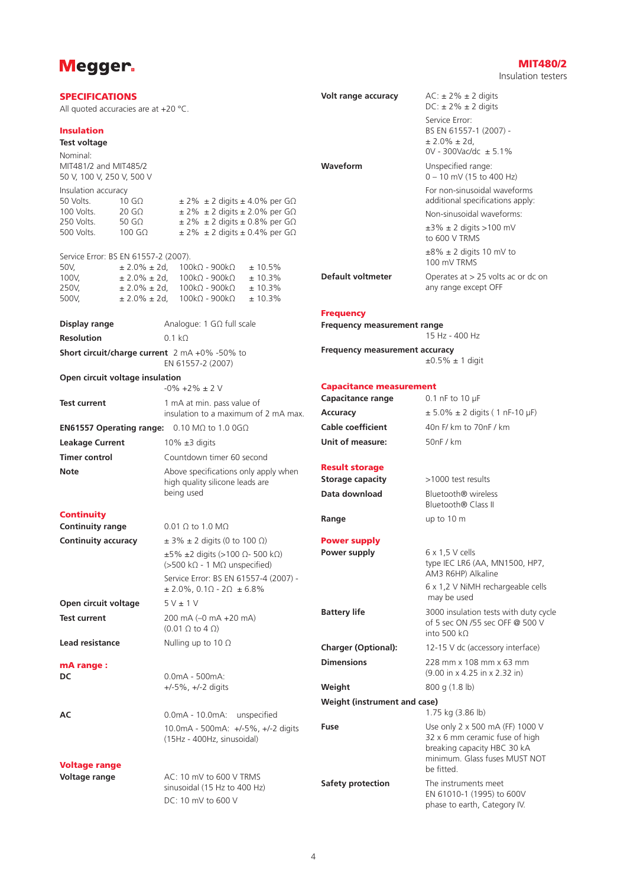Nominal:

#### SPECIFICATIONS All quoted accuracies are at +20 °C. Insulation **Test voltage** MIT481/2 and MIT485/2 50 V, 100 V, 250 V, 500 V Insulation accuracy 50 Volts. 10 GΩ  $± 2\% ± 2$  digits  $± 4.0\%$  per GΩ 100 Volts. 20 G $\Omega$   $\pm$  2%  $\pm$  2 digits  $\pm$  2.0% per G $\Omega$ 250 Volts. 50 GΩ  $± 2\% ± 2$  digits  $± 0.8\%$  per GΩ 500 Volts. 100 GΩ  $± 2\% ± 2$  digits  $± 0.4\%$  per GΩ Service Error: BS EN 61557-2 (2007).<br>50V.  $\pm 2.0\% \pm 2$ d. 100kO - 900kO 50V,  $± 2.0\% ± 2d$ ,  $100kΩ - 900kΩ + 10.5\%$ 100V,  $\pm 2.0\% \pm 2d$ , 100kΩ - 900kΩ  $\pm 10.3\%$ <br>250V  $\pm 2.0\% \pm 2d$  100kO - 900kO + 10.3%  $250V$ ,  $± 2.0% ± 2d$ ,  $100kΩ - 900kΩ$ 500V,  $± 2.0\% ± 2d$ ,  $100kΩ - 900kΩ + 10.3\%$ **Display range** Analogue: 1 GΩ full scale **Resolution** 0.1 kΩ **Short circuit/charge current** 2 mA +0% -50% to EN 61557-2 (2007) **Open circuit voltage insulation**  $-0\% +2\% +2\%$ **Test current** 1 mA at min. pass value of insulation to a maximum of 2 mA max. **EN61557 Operating range:** 0.10 MΩ to 1.0 0GΩ **Leakage Current** 10% ±3 digits **Timer control** Countdown timer 60 second **Note** Above specifications only apply when high quality silicone leads are being used **Continuity Continuity range** 0.01 Ω to 1.0 MΩ **Continuity accuracy**  $\pm 3\% \pm 2$  digits (0 to 100 Ω) ±5% ±2 digits (>100 Ω- 500 kΩ) (>500 kΩ - 1 MΩ unspecified) Service Error: BS EN 61557-4 (2007) -  $± 2.0\%$ , 0.1 $\Omega$  - 2 $\Omega$   $± 6.8\%$ **Open circuit voltage** 5 V ± 1 V **Test current** 200 mA (–0 mA +20 mA) (0.01 Ω to 4 Ω) **Lead resistance** Nulling up to 10 Ω mA range : **DC** 0.0mA - 500mA: +/-5%, +/-2 digits **AC** 0.0mA - 10.0mA: unspecified 10.0mA - 500mA: +/-5%, +/-2 digits (15Hz - 400Hz, sinusoidal) Voltage range **Volt range accuracy**  $AC: \pm 2\% \pm 2$  digits  $DC: \pm 2\% \pm 2$  digits Service Error: BS EN 61557-1 (2007) -  $± 2.0% ± 2d,$ 0V - 300Vac/dc ± 5.1% **Waveform** Unspecified range: 0 – 10 mV (15 to 400 Hz) For non-sinusoidal waveforms additional specifications apply: Non-sinusoidal waveforms:  $±3\% ± 2$  digits >100 mV to 600 V TRMS  $±8\% ± 2$  digits 10 mV to 100 mV TRMS **Default voltmeter** Operates at > 25 volts ac or dc on any range except OFF **Frequency Frequency measurement range** 15 Hz - 400 Hz **Frequency measurement accuracy**  $\pm 0.5\% \pm 1$  digit Capacitance measurement **Capacitance range** 0.1 nF to 10 μF **Accuracy**  $\pm 5.0\% \pm 2$  digits (1 nF-10  $\mu$ F) **Cable coefficient** 40n F/ km to 70nF / km **Unit of measure:** 50nF / km Result storage **Storage capacity**  $>1000$  test results **Data download** Bluetooth® wireless Bluetooth® Class II **Range** up to 10 m Power supply **Power supply** 6 x 1,5 V cells type IEC LR6 (AA, MN1500, HP7, AM3 R6HP) Alkaline 6 x 1,2 V NiMH rechargeable cells may be used **Battery life** 3000 insulation tests with duty cycle of 5 sec ON /55 sec OFF @ 500 V into 500 kΩ **Charger (Optional):** 12-15 V dc (accessory interface) **Dimensions** 228 mm x 108 mm x 63 mm (9.00 in x 4.25 in x 2.32 in) **Weight** 800 g (1.8 lb) **Weight (instrument and case)** 1.75 kg (3.86 lb) **Fuse** Use only 2 x 500 mA (FF) 1000 V 32 x 6 mm ceramic fuse of high breaking capacity HBC 30 kA minimum. Glass fuses MUST NOT be fitted.

**Voltage range**  $AC: 10 \text{ mV to } 600 \text{ V}$  TRMS

sinusoidal (15 Hz to 400 Hz) DC: 10 mV to 600 V

### MIT<sub>480/2</sub>

Insulation testers

**Safety protection** The instruments meet

EN 61010-1 (1995) to 600V phase to earth, Category IV.